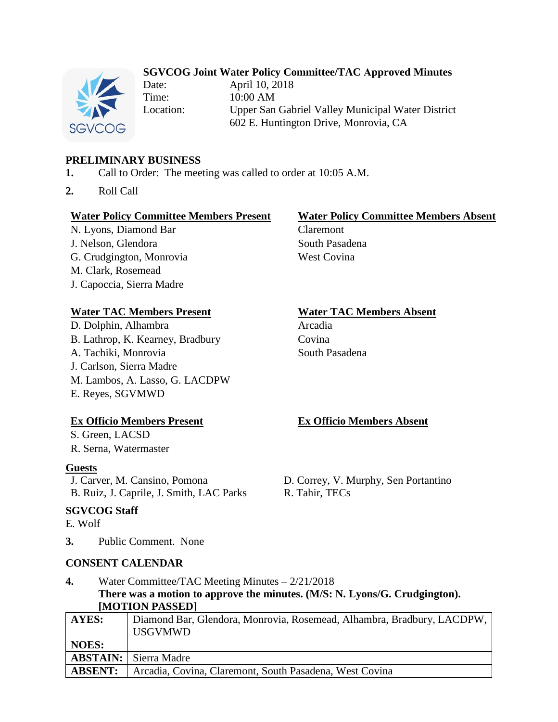## **SGVCOG Joint Water Policy Committee/TAC Approved Minutes**



Date: April 10, 2018 Time: 10:00 AM

Location: Upper San Gabriel Valley Municipal Water District 602 E. Huntington Drive, Monrovia, CA

## **PRELIMINARY BUSINESS**

- **1.** Call to Order: The meeting was called to order at 10:05 A.M.
- **2.** Roll Call

#### **Water Policy Committee Members Present Water Policy Committee Members Absent**

N. Lyons, Diamond Bar Claremont J. Nelson, Glendora South Pasadena G. Crudgington, Monrovia West Covina M. Clark, Rosemead J. Capoccia, Sierra Madre

## **Water TAC Members Present Water TAC Members Absent**

D. Dolphin, Alhambra Arcadia B. Lathrop, K. Kearney, Bradbury Covina A. Tachiki, Monrovia South Pasadena J. Carlson, Sierra Madre M. Lambos, A. Lasso, G. LACDPW E. Reyes, SGVMWD

## **Ex Officio Members Present Ex Officio Members Absent**

S. Green, LACSD R. Serna, Watermaster

#### **Guests**

J. Carver, M. Cansino, Pomona D. Correy, V. Murphy, Sen Portantino B. Ruiz, J. Caprile, J. Smith, LAC Parks R. Tahir, TECs

## **SGVCOG Staff**

E. Wolf

**3.** Public Comment. None

## **CONSENT CALENDAR**

## **4.** Water Committee/TAC Meeting Minutes – 2/21/2018 **There was a motion to approve the minutes. (M/S: N. Lyons/G. Crudgington). [MOTION PASSED]**

| $\mathbf{H}$    |                                                                                          |
|-----------------|------------------------------------------------------------------------------------------|
| AYES:           | Diamond Bar, Glendora, Monrovia, Rosemead, Alhambra, Bradbury, LACDPW,<br><b>USGVMWD</b> |
| <b>NOES:</b>    |                                                                                          |
| <b>ABSTAIN:</b> | Sierra Madre                                                                             |
| <b>ABSENT:</b>  | Arcadia, Covina, Claremont, South Pasadena, West Covina                                  |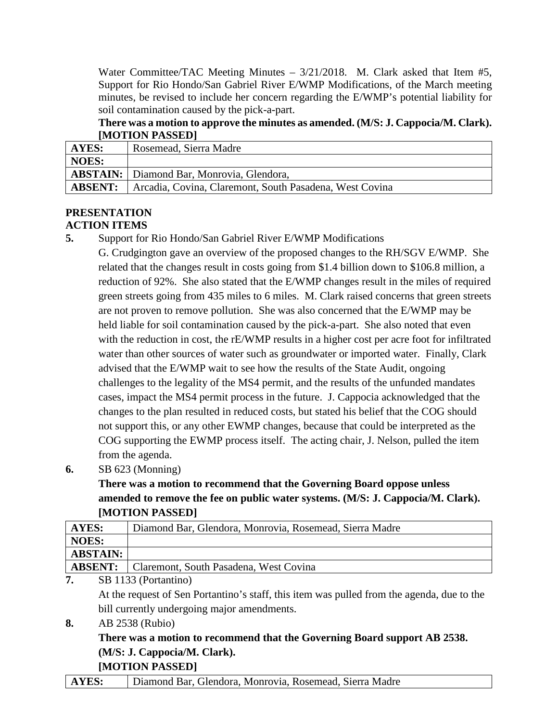Water Committee/TAC Meeting Minutes – 3/21/2018. M. Clark asked that Item #5, Support for Rio Hondo/San Gabriel River E/WMP Modifications, of the March meeting minutes, be revised to include her concern regarding the E/WMP's potential liability for soil contamination caused by the pick-a-part.

## **There was a motion to approve the minutes as amended. (M/S: J. Cappocia/M. Clark). [MOTION PASSED]**

| AYES:          | Rosemead, Sierra Madre                                  |
|----------------|---------------------------------------------------------|
| <b>NOES:</b>   |                                                         |
|                | <b>ABSTAIN:</b>   Diamond Bar, Monrovia, Glendora,      |
| <b>ABSENT:</b> | Arcadia, Covina, Claremont, South Pasadena, West Covina |

# **PRESENTATION**

## **ACTION ITEMS**

**5.** Support for Rio Hondo/San Gabriel River E/WMP Modifications

G. Crudgington gave an overview of the proposed changes to the RH/SGV E/WMP. She related that the changes result in costs going from \$1.4 billion down to \$106.8 million, a reduction of 92%. She also stated that the E/WMP changes result in the miles of required green streets going from 435 miles to 6 miles. M. Clark raised concerns that green streets are not proven to remove pollution. She was also concerned that the E/WMP may be held liable for soil contamination caused by the pick-a-part. She also noted that even with the reduction in cost, the rE/WMP results in a higher cost per acre foot for infiltrated water than other sources of water such as groundwater or imported water. Finally, Clark advised that the E/WMP wait to see how the results of the State Audit, ongoing challenges to the legality of the MS4 permit, and the results of the unfunded mandates cases, impact the MS4 permit process in the future. J. Cappocia acknowledged that the changes to the plan resulted in reduced costs, but stated his belief that the COG should not support this, or any other EWMP changes, because that could be interpreted as the COG supporting the EWMP process itself. The acting chair, J. Nelson, pulled the item from the agenda.

**6.** SB 623 (Monning)

**There was a motion to recommend that the Governing Board oppose unless amended to remove the fee on public water systems. (M/S: J. Cappocia/M. Clark). [MOTION PASSED]**

| AYES:                       | Diamond Bar, Glendora, Monrovia, Rosemead, Sierra Madre |
|-----------------------------|---------------------------------------------------------|
| NOES:                       |                                                         |
| <b>ABSTAIN:</b>             |                                                         |
|                             | <b>ABSENT:</b> Claremont, South Pasadena, West Covina   |
| $\sim$ $\sim$ $\sim$ $\sim$ |                                                         |

**7.** SB 1133 (Portantino)

At the request of Sen Portantino's staff, this item was pulled from the agenda, due to the bill currently undergoing major amendments.

**8.** AB 2538 (Rubio)

## **There was a motion to recommend that the Governing Board support AB 2538. (M/S: J. Cappocia/M. Clark). [MOTION PASSED]**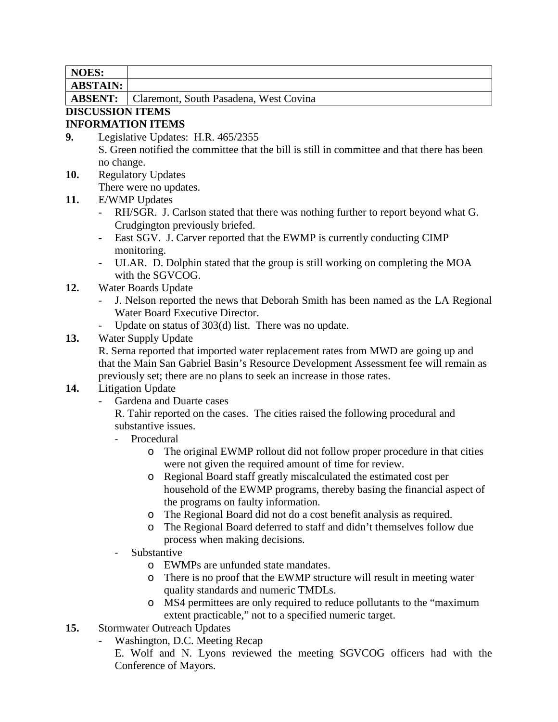| N<br>DК<br>• تەت<br>-- |                                                     |
|------------------------|-----------------------------------------------------|
| $T^*$<br>ADD LALL      |                                                     |
| <b>ADOENIE</b>         | $\sim$ 1<br>$\mathbf{u}$<br>$\sqrt{1}$ D $\sqrt{1}$ |

**ABSENT:** Claremont, South Pasadena, West Covina

# **DISCUSSION ITEMS**

## **INFORMATION ITEMS**

- **9.** Legislative Updates: H.R. 465/2355 S. Green notified the committee that the bill is still in committee and that there has been no change.
- **10.** Regulatory Updates

There were no updates.

- **11.** E/WMP Updates
	- RH/SGR. J. Carlson stated that there was nothing further to report beyond what G. Crudgington previously briefed.
	- East SGV. J. Carver reported that the EWMP is currently conducting CIMP monitoring.
	- ULAR. D. Dolphin stated that the group is still working on completing the MOA with the SGVCOG.
- **12.** Water Boards Update
	- J. Nelson reported the news that Deborah Smith has been named as the LA Regional Water Board Executive Director.
	- Update on status of 303(d) list. There was no update.

## **13.** Water Supply Update

R. Serna reported that imported water replacement rates from MWD are going up and that the Main San Gabriel Basin's Resource Development Assessment fee will remain as previously set; there are no plans to seek an increase in those rates.

## **14.** Litigation Update

- Gardena and Duarte cases

R. Tahir reported on the cases. The cities raised the following procedural and substantive issues.

- Procedural
	- o The original EWMP rollout did not follow proper procedure in that cities were not given the required amount of time for review.
	- o Regional Board staff greatly miscalculated the estimated cost per household of the EWMP programs, thereby basing the financial aspect of the programs on faulty information.
	- o The Regional Board did not do a cost benefit analysis as required.
	- o The Regional Board deferred to staff and didn't themselves follow due process when making decisions.
- **Substantive** 
	- o EWMPs are unfunded state mandates.
	- o There is no proof that the EWMP structure will result in meeting water quality standards and numeric TMDLs.
	- o MS4 permittees are only required to reduce pollutants to the "maximum extent practicable," not to a specified numeric target.
- **15.** Stormwater Outreach Updates
	- Washington, D.C. Meeting Recap

E. Wolf and N. Lyons reviewed the meeting SGVCOG officers had with the Conference of Mayors.